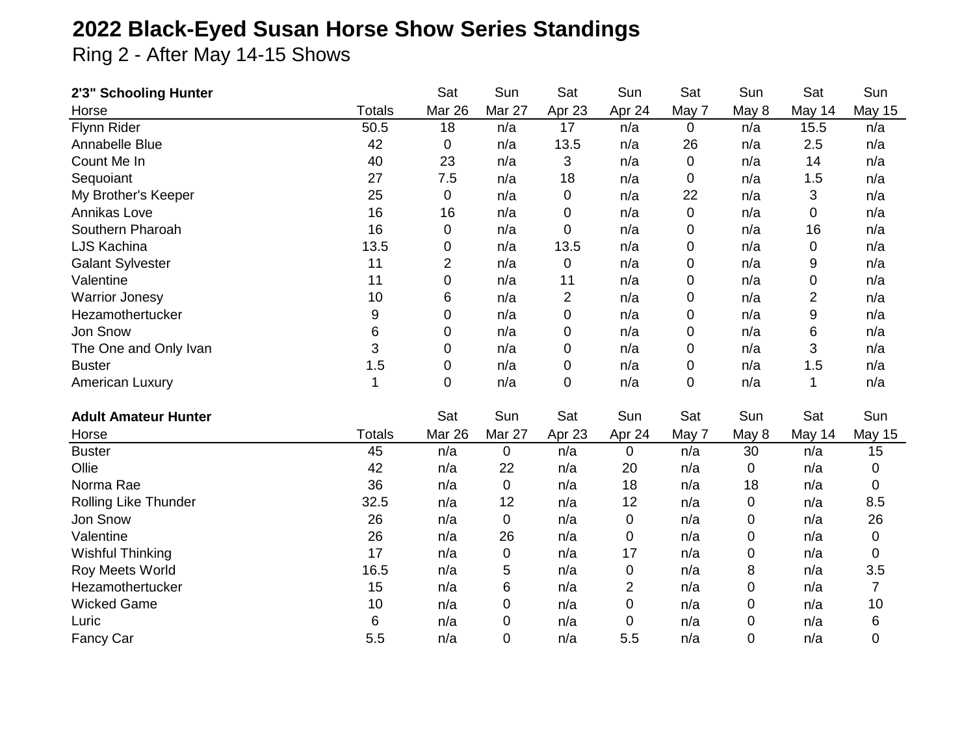## **2022 Black-Eyed Susan Horse Show Series Standings**

Ring 2 - After May 14-15 Shows

| 2'3" Schooling Hunter       |               | Sat            | Sun    | Sat              | Sun         | Sat   | Sun         | Sat         | Sun            |
|-----------------------------|---------------|----------------|--------|------------------|-------------|-------|-------------|-------------|----------------|
| Horse                       | <b>Totals</b> | Mar 26         | Mar 27 | Apr 23           | Apr 24      | May 7 | May 8       | May 14      | <b>May 15</b>  |
| Flynn Rider                 | 50.5          | 18             | n/a    | 17               | n/a         | 0     | n/a         | 15.5        | n/a            |
| Annabelle Blue              | 42            | 0              | n/a    | 13.5             | n/a         | 26    | n/a         | 2.5         | n/a            |
| Count Me In                 | 40            | 23             | n/a    | 3                | n/a         | 0     | n/a         | 14          | n/a            |
| Sequoiant                   | 27            | 7.5            | n/a    | 18               | n/a         | 0     | n/a         | 1.5         | n/a            |
| My Brother's Keeper         | 25            | $\pmb{0}$      | n/a    | $\mathbf 0$      | n/a         | 22    | n/a         | 3           | n/a            |
| Annikas Love                | 16            | 16             | n/a    | 0                | n/a         | 0     | n/a         | 0           | n/a            |
| Southern Pharoah            | 16            | $\mathbf 0$    | n/a    | $\mathbf 0$      | n/a         | 0     | n/a         | 16          | n/a            |
| <b>LJS Kachina</b>          | 13.5          | 0              | n/a    | 13.5             | n/a         | 0     | n/a         | 0           | n/a            |
| <b>Galant Sylvester</b>     | 11            | $\overline{2}$ | n/a    | $\boldsymbol{0}$ | n/a         | 0     | n/a         | 9           | n/a            |
| Valentine                   | 11            | $\mathbf 0$    | n/a    | 11               | n/a         | 0     | n/a         | $\mathbf 0$ | n/a            |
| <b>Warrior Jonesy</b>       | 10            | 6              | n/a    | $\overline{c}$   | n/a         | 0     | n/a         | 2           | n/a            |
| Hezamothertucker            | 9             | 0              | n/a    | 0                | n/a         | 0     | n/a         | 9           | n/a            |
| Jon Snow                    | 6             | $\mathbf 0$    | n/a    | 0                | n/a         | 0     | n/a         | 6           | n/a            |
| The One and Only Ivan       | 3             | 0              | n/a    | 0                | n/a         | 0     | n/a         | 3           | n/a            |
| <b>Buster</b>               | 1.5           | $\mathbf 0$    | n/a    | $\mathbf 0$      | n/a         | 0     | n/a         | 1.5         | n/a            |
| <b>American Luxury</b>      | 1             | $\mathbf 0$    | n/a    | $\mathbf 0$      | n/a         | 0     | n/a         | 1           | n/a            |
| <b>Adult Amateur Hunter</b> |               | Sat            | Sun    | Sat              | Sun         | Sat   | Sun         | Sat         | Sun            |
| Horse                       | <b>Totals</b> | Mar 26         | Mar 27 | Apr 23           | Apr 24      | May 7 | May 8       | May 14      | <b>May 15</b>  |
| <b>Buster</b>               | 45            | n/a            | 0      | n/a              | $\mathbf 0$ | n/a   | 30          | n/a         | 15             |
| Ollie                       | 42            | n/a            | 22     | n/a              | 20          | n/a   | $\mathbf 0$ | n/a         | 0              |
| Norma Rae                   | 36            | n/a            | 0      | n/a              | 18          | n/a   | 18          | n/a         | 0              |
| Rolling Like Thunder        | 32.5          | n/a            | 12     | n/a              | 12          | n/a   | 0           | n/a         | 8.5            |
| Jon Snow                    | 26            | n/a            | 0      | n/a              | 0           | n/a   | 0           | n/a         | 26             |
| Valentine                   | 26            | n/a            | 26     | n/a              | 0           | n/a   | 0           | n/a         | 0              |
| <b>Wishful Thinking</b>     | 17            | n/a            | 0      | n/a              | 17          | n/a   | 0           | n/a         | 0              |
| Roy Meets World             | 16.5          | n/a            | 5      | n/a              | $\pmb{0}$   | n/a   | 8           | n/a         | 3.5            |
| Hezamothertucker            | 15            | n/a            | 6      | n/a              | 2           | n/a   | 0           | n/a         | $\overline{7}$ |
| <b>Wicked Game</b>          | 10            | n/a            | 0      | n/a              | 0           | n/a   | 0           | n/a         | 10             |
| Luric                       | 6             | n/a            | 0      | n/a              | 0           | n/a   | 0           | n/a         | 6              |
| Fancy Car                   | 5.5           | n/a            | 0      | n/a              | 5.5         | n/a   | 0           | n/a         | 0              |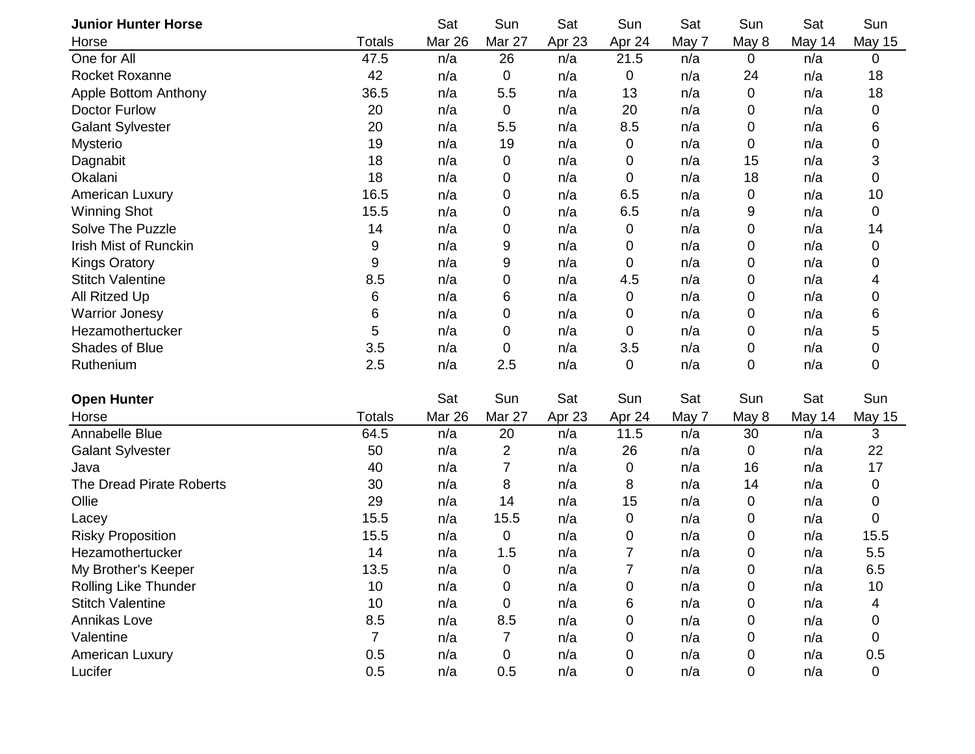| <b>Junior Hunter Horse</b>   |                | Sat    | Sun            | Sat    | Sun            | Sat   | Sun   | Sat    | Sun              |
|------------------------------|----------------|--------|----------------|--------|----------------|-------|-------|--------|------------------|
| Horse                        | <b>Totals</b>  | Mar 26 | Mar 27         | Apr 23 | Apr 24         | May 7 | May 8 | May 14 | <b>May 15</b>    |
| One for All                  | 47.5           | n/a    | 26             | n/a    | 21.5           | n/a   | 0     | n/a    | 0                |
| <b>Rocket Roxanne</b>        | 42             | n/a    | 0              | n/a    | 0              | n/a   | 24    | n/a    | 18               |
| Apple Bottom Anthony         | 36.5           | n/a    | 5.5            | n/a    | 13             | n/a   | 0     | n/a    | 18               |
| <b>Doctor Furlow</b>         | 20             | n/a    | 0              | n/a    | 20             | n/a   | 0     | n/a    | 0                |
| <b>Galant Sylvester</b>      | 20             | n/a    | 5.5            | n/a    | 8.5            | n/a   | 0     | n/a    | 6                |
| Mysterio                     | 19             | n/a    | 19             | n/a    | 0              | n/a   | 0     | n/a    | 0                |
| Dagnabit                     | 18             | n/a    | 0              | n/a    | 0              | n/a   | 15    | n/a    | 3                |
| Okalani                      | 18             | n/a    | 0              | n/a    | $\pmb{0}$      | n/a   | 18    | n/a    | $\boldsymbol{0}$ |
| <b>American Luxury</b>       | 16.5           | n/a    | 0              | n/a    | 6.5            | n/a   | 0     | n/a    | 10               |
| <b>Winning Shot</b>          | 15.5           | n/a    | 0              | n/a    | 6.5            | n/a   | 9     | n/a    | 0                |
| Solve The Puzzle             | 14             | n/a    | 0              | n/a    | 0              | n/a   | 0     | n/a    | 14               |
| <b>Irish Mist of Runckin</b> | 9              | n/a    | 9              | n/a    | 0              | n/a   | 0     | n/a    | 0                |
| <b>Kings Oratory</b>         | 9              | n/a    | 9              | n/a    | 0              | n/a   | 0     | n/a    | 0                |
| <b>Stitch Valentine</b>      | 8.5            | n/a    | 0              | n/a    | 4.5            | n/a   | 0     | n/a    | 4                |
| All Ritzed Up                | 6              | n/a    | 6              | n/a    | 0              | n/a   | 0     | n/a    | 0                |
| <b>Warrior Jonesy</b>        | 6              | n/a    | 0              | n/a    | 0              | n/a   | 0     | n/a    | 6                |
| Hezamothertucker             | 5              | n/a    | 0              | n/a    | $\overline{0}$ | n/a   | 0     | n/a    | 5                |
| Shades of Blue               | 3.5            | n/a    | $\pmb{0}$      | n/a    | 3.5            | n/a   | 0     | n/a    | 0                |
| Ruthenium                    | 2.5            | n/a    | 2.5            | n/a    | 0              | n/a   | 0     | n/a    | 0                |
|                              |                |        |                |        |                |       |       |        |                  |
| <b>Open Hunter</b>           |                | Sat    | Sun            | Sat    | Sun            | Sat   | Sun   | Sat    | Sun              |
| Horse                        | <b>Totals</b>  | Mar 26 | Mar 27         | Apr 23 | Apr 24         | May 7 | May 8 | May 14 | <b>May 15</b>    |
| Annabelle Blue               | 64.5           | n/a    | 20             | n/a    | 11.5           | n/a   | 30    | n/a    | 3                |
| <b>Galant Sylvester</b>      | 50             | n/a    | $\overline{2}$ | n/a    | 26             | n/a   | 0     | n/a    | 22               |
| Java                         | 40             | n/a    | 7              | n/a    | 0              | n/a   | 16    | n/a    | 17               |
| The Dread Pirate Roberts     | 30             | n/a    | 8              | n/a    | 8              | n/a   | 14    | n/a    | 0                |
| Ollie                        | 29             | n/a    | 14             | n/a    | 15             | n/a   | 0     | n/a    | 0                |
| Lacey                        | 15.5           | n/a    | 15.5           | n/a    | 0              | n/a   | 0     | n/a    | 0                |
| <b>Risky Proposition</b>     | 15.5           | n/a    | 0              | n/a    | 0              | n/a   | 0     | n/a    | 15.5             |
| Hezamothertucker             | 14             | n/a    | 1.5            | n/a    | $\overline{7}$ | n/a   | 0     | n/a    | 5.5              |
| My Brother's Keeper          | 13.5           | n/a    | 0              | n/a    | $\overline{7}$ | n/a   | 0     | n/a    | 6.5              |
| Rolling Like Thunder         | 10             | n/a    | 0              | n/a    | 0              | n/a   | 0     | n/a    | 10               |
| <b>Stitch Valentine</b>      | 10             | n/a    | 0              | n/a    | 6              | n/a   | 0     | n/a    | 4                |
| Annikas Love                 | 8.5            | n/a    | 8.5            | n/a    | 0              | n/a   | 0     | n/a    | 0                |
| Valentine                    | $\overline{7}$ | n/a    | 7              | n/a    | 0              | n/a   | 0     | n/a    | 0                |
| American Luxury              | 0.5            | n/a    | 0              | n/a    | 0              | n/a   | 0     | n/a    | 0.5              |
| Lucifer                      | 0.5            | n/a    | 0.5            | n/a    | 0              | n/a   | 0     | n/a    | 0                |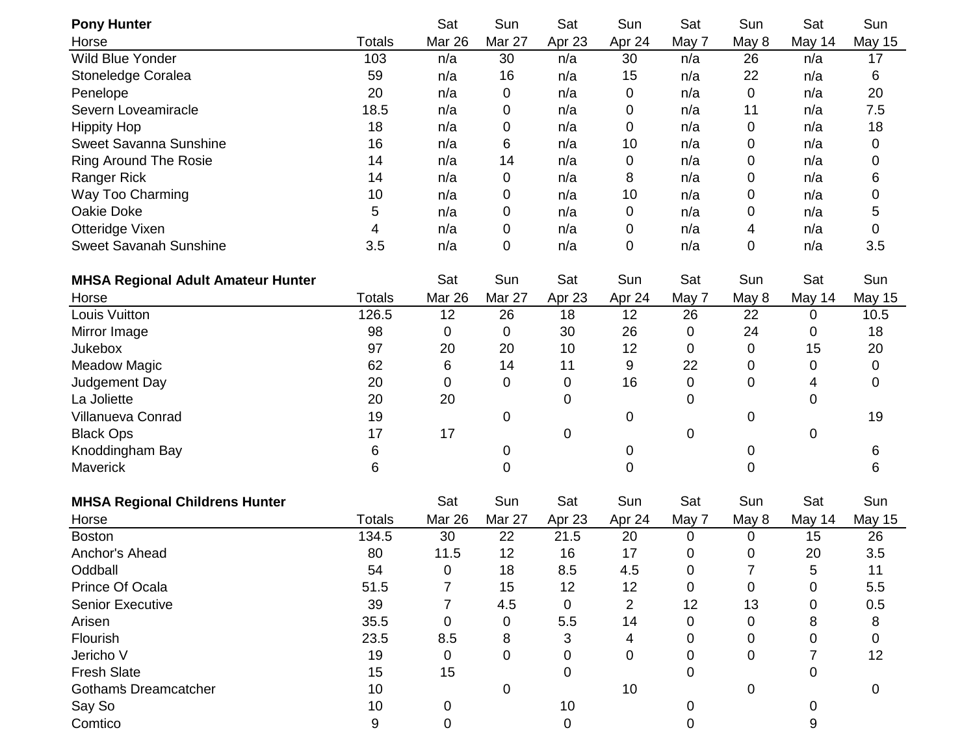| <b>Pony Hunter</b>                        |               | Sat         | Sun    | Sat         | Sun            | Sat         | Sun                      | Sat    | Sun           |
|-------------------------------------------|---------------|-------------|--------|-------------|----------------|-------------|--------------------------|--------|---------------|
| Horse                                     | <b>Totals</b> | Mar 26      | Mar 27 | Apr 23      | Apr 24         | May 7       | May 8                    | May 14 | <b>May 15</b> |
| Wild Blue Yonder                          | 103           | n/a         | 30     | n/a         | 30             | n/a         | 26                       | n/a    | 17            |
| Stoneledge Coralea                        | 59            | n/a         | 16     | n/a         | 15             | n/a         | 22                       | n/a    | 6             |
| Penelope                                  | 20            | n/a         | 0      | n/a         | 0              | n/a         | 0                        | n/a    | 20            |
| Severn Loveamiracle                       | 18.5          | n/a         | 0      | n/a         | 0              | n/a         | 11                       | n/a    | 7.5           |
| <b>Hippity Hop</b>                        | 18            | n/a         | 0      | n/a         | 0              | n/a         | 0                        | n/a    | 18            |
| <b>Sweet Savanna Sunshine</b>             | 16            | n/a         | 6      | n/a         | 10             | n/a         | 0                        | n/a    | 0             |
| <b>Ring Around The Rosie</b>              | 14            | n/a         | 14     | n/a         | 0              | n/a         | 0                        | n/a    | 0             |
| <b>Ranger Rick</b>                        | 14            | n/a         | 0      | n/a         | 8              | n/a         | 0                        | n/a    | 6             |
| Way Too Charming                          | 10            | n/a         | 0      | n/a         | 10             | n/a         | 0                        | n/a    | 0             |
| Oakie Doke                                | 5             | n/a         | 0      | n/a         | 0              | n/a         | 0                        | n/a    | 5             |
| Otteridge Vixen                           | 4             | n/a         | 0      | n/a         | 0              | n/a         | 4                        | n/a    | 0             |
| <b>Sweet Savanah Sunshine</b>             | 3.5           | n/a         | 0      | n/a         | 0              | n/a         | 0                        | n/a    | 3.5           |
| <b>MHSA Regional Adult Amateur Hunter</b> |               | Sat         | Sun    | Sat         | Sun            | Sat         | Sun                      | Sat    | Sun           |
| Horse                                     | <b>Totals</b> | Mar 26      | Mar 27 | Apr 23      | Apr 24         | May 7       | May 8                    | May 14 | <b>May 15</b> |
| Louis Vuitton                             | 126.5         | 12          | 26     | 18          | 12             | 26          | 22                       | 0      | 10.5          |
| Mirror Image                              | 98            | 0           | 0      | 30          | 26             | 0           | 24                       | 0      | 18            |
| <b>Jukebox</b>                            | 97            | 20          | 20     | 10          | 12             | 0           | 0                        | 15     | 20            |
| <b>Meadow Magic</b>                       | 62            | 6           | 14     | 11          | 9              | 22          | 0                        | 0      | 0             |
| Judgement Day                             | 20            | 0           | 0      | 0           | 16             | 0           | 0                        | 4      | 0             |
| La Joliette                               | 20            | 20          |        | $\mathbf 0$ |                | 0           |                          | 0      |               |
| Villanueva Conrad                         | 19            |             | 0      |             | 0              |             | 0                        |        | 19            |
| <b>Black Ops</b>                          | 17            | 17          |        | $\mathbf 0$ |                | 0           |                          | 0      |               |
| Knoddingham Bay                           | 6             |             | 0      |             | 0              |             | 0                        |        | 6             |
| <b>Maverick</b>                           | 6             |             | 0      |             | 0              |             | 0                        |        | 6             |
| <b>MHSA Regional Childrens Hunter</b>     |               | Sat         | Sun    | Sat         | Sun            | Sat         | Sun                      | Sat    | Sun           |
| Horse                                     | <b>Totals</b> | Mar 26      | Mar 27 | Apr 23      | Apr 24         | May 7       | May 8                    | May 14 | <b>May 15</b> |
| <b>Boston</b>                             | 134.5         | 30          | 22     | 21.5        | 20             | 0           | 0                        | 15     | 26            |
| Anchor's Ahead                            | 80            | 11.5        | 12     | 16          | 17             | 0           | 0                        | 20     | 3.5           |
| Oddball                                   | 54            | 0           | 18     | 8.5         | 4.5            | $\mathsf 0$ | $\overline{\phantom{a}}$ | 5      | 11            |
| Prince Of Ocala                           | 51.5          |             | 15     | 12          | 12             | 0           | 0                        | 0      | 5.5           |
| <b>Senior Executive</b>                   | 39            | 7           | 4.5    | 0           | $\overline{2}$ | 12          | 13                       | 0      | 0.5           |
| Arisen                                    | 35.5          | 0           | 0      | 5.5         | 14             | 0           | 0                        | 8      | 8             |
| Flourish                                  | 23.5          | 8.5         | 8      | 3           | 4              | 0           | 0                        | 0      | 0             |
| Jericho V                                 | 19            | 0           | 0      | 0           | 0              | 0           | 0                        | 7      | 12            |
| <b>Fresh Slate</b>                        | 15            | 15          |        | $\mathbf 0$ |                | 0           |                          | 0      |               |
| <b>Gotham's Dreamcatcher</b>              | 10            |             | 0      |             | 10             |             | 0                        |        | 0             |
| Say So                                    | 10            | $\mathbf 0$ |        | 10          |                | 0           |                          | 0      |               |
| Comtico                                   | 9             | 0           |        | $\mathbf 0$ |                | 0           |                          | 9      |               |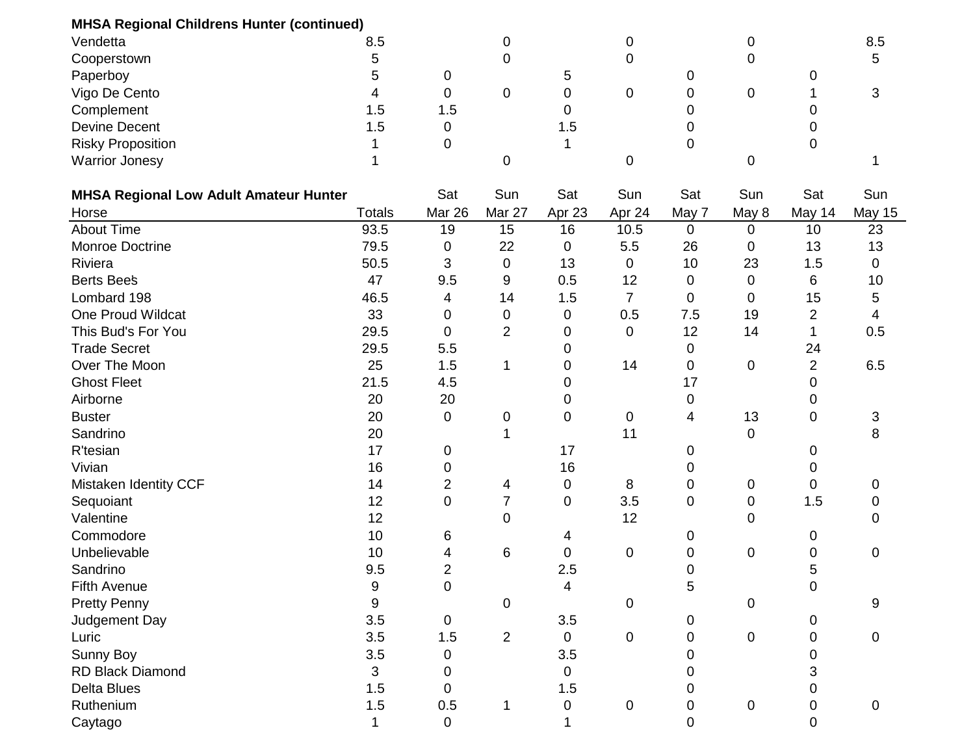| <b>MHSA Regional Childrens Hunter (continued)</b> |                  |                |                |                |                |       |             |                |                |
|---------------------------------------------------|------------------|----------------|----------------|----------------|----------------|-------|-------------|----------------|----------------|
| Vendetta                                          | 8.5              |                | 0              |                | 0              |       | 0           |                | 8.5            |
| Cooperstown                                       | 5                |                | 0              |                | 0              |       | 0           |                | 5              |
| Paperboy                                          | 5                | 0              |                | 5              |                | 0     |             | 0              |                |
| Vigo De Cento                                     | 4                | 0              | 0              | 0              | 0              | 0     | 0           |                | 3              |
| Complement                                        | 1.5              | 1.5            |                | 0              |                | 0     |             | 0              |                |
| <b>Devine Decent</b>                              | 1.5              | 0              |                | 1.5            |                | 0     |             | 0              |                |
| <b>Risky Proposition</b>                          |                  | 0              |                |                |                | 0     |             | 0              |                |
| <b>Warrior Jonesy</b>                             |                  |                | 0              |                | 0              |       | 0           |                |                |
| <b>MHSA Regional Low Adult Amateur Hunter</b>     |                  |                | Sun            | Sat            | Sun            | Sat   | Sun         | Sat            | Sun            |
| Horse                                             | <b>Totals</b>    | Mar 26         | Mar 27         | Apr 23         | Apr 24         | May 7 | May 8       | May 14         | May 15         |
| <b>About Time</b>                                 | 93.5             | 19             | 15             | 16             | 10.5           | 0     | 0           | 10             | 23             |
| Monroe Doctrine                                   | 79.5             | 0              | 22             | 0              | 5.5            | 26    | 0           | 13             | 13             |
| Riviera                                           | 50.5             | 3              | 0              | 13             | 0              | 10    | 23          | 1.5            | 0              |
| <b>Berts Bees</b>                                 | 47               | 9.5            | 9              | 0.5            | 12             | 0     | 0           | 6              | 10             |
| Lombard 198                                       | 46.5             | 4              | 14             | 1.5            | $\overline{7}$ | 0     | 0           | 15             | 5              |
| One Proud Wildcat                                 | 33               | $\mathbf 0$    | 0              | $\mathbf 0$    | 0.5            | 7.5   | 19          | $\overline{2}$ | 4              |
| This Bud's For You                                | 29.5             | 0              | $\overline{2}$ | 0              | 0              | 12    | 14          | 1              | 0.5            |
| <b>Trade Secret</b>                               | 29.5             | 5.5            |                | 0              |                | 0     |             | 24             |                |
| Over The Moon                                     | 25               | 1.5            | 1              | 0              | 14             | 0     | 0           | $\overline{2}$ | 6.5            |
| <b>Ghost Fleet</b>                                | 21.5             | 4.5            |                | 0              |                | 17    |             | 0              |                |
| Airborne                                          | 20               | 20             |                | 0              |                | 0     |             | 0              |                |
| <b>Buster</b>                                     | 20               | 0              | 0              | 0              | 0              | 4     | 13          | 0              | 3              |
| Sandrino                                          | 20               |                |                |                | 11             |       | $\mathbf 0$ |                | 8              |
| R'tesian                                          | 17               | 0              |                | 17             |                | 0     |             | 0              |                |
| Vivian                                            | 16               | 0              |                | 16             |                | 0     |             | 0              |                |
| Mistaken Identity CCF                             | 14               | $\overline{c}$ | 4              | $\mathbf 0$    | 8              | 0     | 0           | 0              | 0              |
| Sequoiant                                         | 12               | 0              | $\overline{7}$ | $\mathbf 0$    | 3.5            | 0     | 0           | 1.5            | 0              |
| Valentine                                         | 12               |                | 0              |                | 12             |       | 0           |                | $\overline{0}$ |
| Commodore                                         | 10               | 6              |                | 4              |                | 0     |             | 0              |                |
| Unbelievable                                      | 10               | 4              | 6              | 0              | 0              | 0     | 0           | 0              | 0              |
| Sandrino                                          | 9.5              | $\overline{2}$ |                | 2.5            |                | 0     |             | 5              |                |
| <b>Fifth Avenue</b>                               | $\boldsymbol{9}$ | 0              |                | $\overline{4}$ |                | 5     |             | 0              |                |
| <b>Pretty Penny</b>                               | $\boldsymbol{9}$ |                | 0              |                | $\pmb{0}$      |       | 0           |                | 9              |
| Judgement Day                                     | 3.5              | $\mathbf 0$    |                | 3.5            |                | 0     |             | 0              |                |
| Luric                                             | 3.5              | 1.5            | $\overline{2}$ | $\mathbf 0$    | $\pmb{0}$      | 0     | $\mathbf 0$ | 0              | $\overline{0}$ |
| Sunny Boy                                         | 3.5              | 0              |                | 3.5            |                | 0     |             | 0              |                |
| <b>RD Black Diamond</b>                           | 3                | 0              |                | $\mathbf 0$    |                | 0     |             | 3              |                |
| <b>Delta Blues</b>                                | 1.5              | 0              |                | 1.5            |                | 0     |             | 0              |                |
| Ruthenium                                         | 1.5              | 0.5            | 1              | $\mathbf 0$    | $\pmb{0}$      | 0     | $\mathbf 0$ | 0              | $\mathbf 0$    |
| Caytago                                           | 1                | 0              |                |                |                | 0     |             | 0              |                |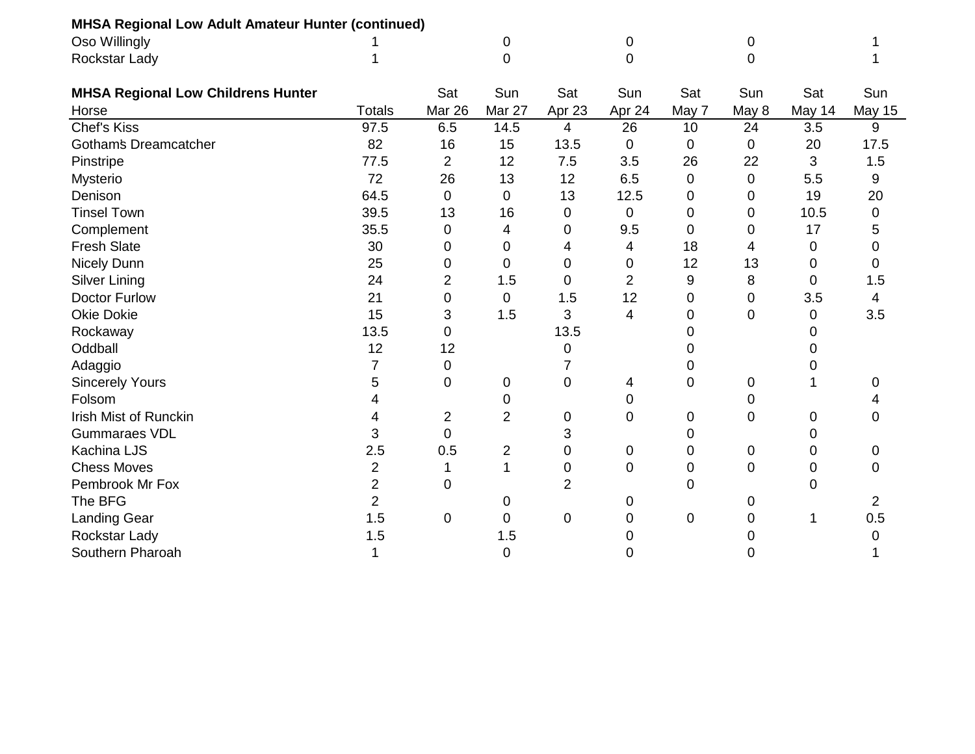| <b>MHSA Regional Low Adult Amateur Hunter (continued)</b> |                |                |                |                |                |                |             |        |                |
|-----------------------------------------------------------|----------------|----------------|----------------|----------------|----------------|----------------|-------------|--------|----------------|
| Oso Willingly                                             |                |                | 0              |                | 0              |                | 0           |        |                |
| Rockstar Lady                                             |                |                | $\mathbf 0$    |                | $\mathbf 0$    |                | 0           |        |                |
| <b>MHSA Regional Low Childrens Hunter</b>                 |                | Sat            | Sun            | Sat            | Sun            | Sat            | Sun         | Sat    | Sun            |
| Horse                                                     | <b>Totals</b>  | Mar 26         | Mar 27         | Apr 23         | Apr 24         | May 7          | May 8       | May 14 | <b>May 15</b>  |
| <b>Chef's Kiss</b>                                        | 97.5           | 6.5            | 14.5           | $\overline{4}$ | 26             | 10             | 24          | 3.5    | 9              |
| <b>Gotham's Dreamcatcher</b>                              | 82             | 16             | 15             | 13.5           | $\mathbf 0$    | $\overline{0}$ | $\mathbf 0$ | 20     | 17.5           |
| Pinstripe                                                 | 77.5           | $\overline{2}$ | 12             | 7.5            | 3.5            | 26             | 22          | 3      | 1.5            |
| Mysterio                                                  | 72             | 26             | 13             | 12             | 6.5            | 0              | $\mathbf 0$ | 5.5    | 9              |
| Denison                                                   | 64.5           | $\mathbf 0$    | $\mathbf 0$    | 13             | 12.5           | 0              | 0           | 19     | 20             |
| <b>Tinsel Town</b>                                        | 39.5           | 13             | 16             | 0              | 0              | 0              | 0           | 10.5   | 0              |
| Complement                                                | 35.5           | 0              | 4              | 0              | 9.5            | $\Omega$       | 0           | 17     | 5              |
| <b>Fresh Slate</b>                                        | 30             | 0              | $\overline{0}$ | 4              | 4              | 18             | 4           | 0      | 0              |
| Nicely Dunn                                               | 25             | 0              | $\overline{0}$ | 0              | 0              | 12             | 13          | 0      | 0              |
| <b>Silver Lining</b>                                      | 24             | $\overline{2}$ | 1.5            | 0              | $\overline{2}$ | 9              | 8           | 0      | 1.5            |
| <b>Doctor Furlow</b>                                      | 21             | 0              | $\overline{0}$ | 1.5            | 12             | 0              | 0           | 3.5    | 4              |
| <b>Okie Dokie</b>                                         | 15             | 3              | 1.5            | 3              | 4              | 0              | 0           | 0      | 3.5            |
| Rockaway                                                  | 13.5           | 0              |                | 13.5           |                | 0              |             | 0      |                |
| Oddball                                                   | 12             | 12             |                | 0              |                | 0              |             | 0      |                |
| Adaggio                                                   | 7              | 0              |                | $\overline{7}$ |                | 0              |             | 0      |                |
| <b>Sincerely Yours</b>                                    | 5              | 0              | $\mathbf 0$    | 0              | 4              | $\overline{0}$ | 0           |        | 0              |
| Folsom                                                    |                |                | 0              |                | 0              |                | 0           |        | 4              |
| <b>Irish Mist of Runckin</b>                              | 4              | $\overline{2}$ | $\overline{2}$ | 0              | $\overline{0}$ | $\overline{0}$ | 0           | 0      | 0              |
| <b>Gummaraes VDL</b>                                      | 3              | 0              |                | 3              |                | 0              |             | 0      |                |
| <b>Kachina LJS</b>                                        | 2.5            | 0.5            | $\overline{c}$ | 0              | $\mathbf 0$    | 0              | 0           | 0      | 0              |
| <b>Chess Moves</b>                                        | $\overline{2}$ |                | 1              | 0              | $\overline{0}$ | 0              | 0           | 0      | 0              |
| Pembrook Mr Fox                                           | $\overline{2}$ | 0              |                | $\overline{2}$ |                | 0              |             | 0      |                |
| The BFG                                                   | $\overline{2}$ |                | 0              |                | 0              |                | 0           |        | $\overline{2}$ |
| Landing Gear                                              | 1.5            | 0              | 0              | 0              | 0              | 0              | 0           | 1      | 0.5            |
| Rockstar Lady                                             | 1.5            |                | 1.5            |                | 0              |                | 0           |        | 0              |
| Southern Pharoah                                          |                |                | $\mathbf 0$    |                | 0              |                | 0           |        |                |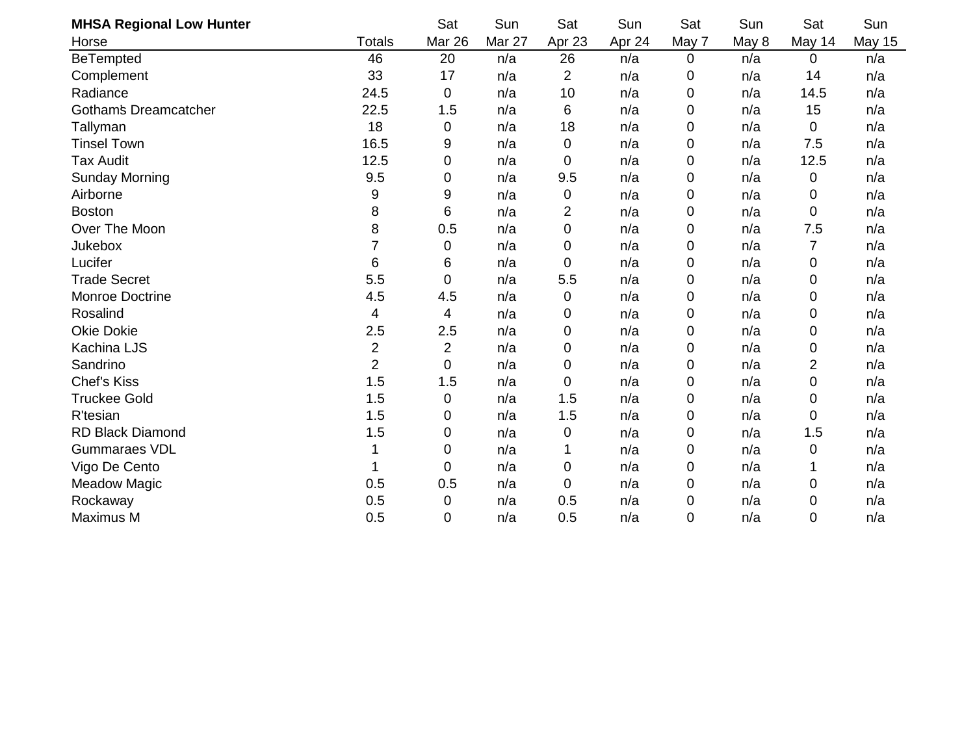| <b>MHSA Regional Low Hunter</b> |                | Sat            | Sun    | Sat            | Sun    | Sat   | Sun   | Sat            | Sun    |
|---------------------------------|----------------|----------------|--------|----------------|--------|-------|-------|----------------|--------|
| Horse                           | <b>Totals</b>  | Mar 26         | Mar 27 | Apr 23         | Apr 24 | May 7 | May 8 | May 14         | May 15 |
| <b>BeTempted</b>                | 46             | 20             | n/a    | 26             | n/a    | 0     | n/a   | 0              | n/a    |
| Complement                      | 33             | 17             | n/a    | $\overline{2}$ | n/a    | 0     | n/a   | 14             | n/a    |
| Radiance                        | 24.5           | 0              | n/a    | 10             | n/a    | 0     | n/a   | 14.5           | n/a    |
| <b>Gotham's Dreamcatcher</b>    | 22.5           | 1.5            | n/a    | 6              | n/a    | 0     | n/a   | 15             | n/a    |
| Tallyman                        | 18             | $\mathbf 0$    | n/a    | 18             | n/a    | 0     | n/a   | 0              | n/a    |
| <b>Tinsel Town</b>              | 16.5           | 9              | n/a    | 0              | n/a    | 0     | n/a   | 7.5            | n/a    |
| <b>Tax Audit</b>                | 12.5           | 0              | n/a    | 0              | n/a    | 0     | n/a   | 12.5           | n/a    |
| <b>Sunday Morning</b>           | 9.5            | 0              | n/a    | 9.5            | n/a    | 0     | n/a   | 0              | n/a    |
| Airborne                        | 9              | 9              | n/a    | 0              | n/a    | 0     | n/a   | 0              | n/a    |
| <b>Boston</b>                   | 8              | 6              | n/a    | 2              | n/a    | 0     | n/a   | 0              | n/a    |
| Over The Moon                   | 8              | 0.5            | n/a    | 0              | n/a    | 0     | n/a   | 7.5            | n/a    |
| Jukebox                         | $\overline{7}$ | $\mathbf 0$    | n/a    | 0              | n/a    | 0     | n/a   | 7              | n/a    |
| Lucifer                         | 6              | 6              | n/a    | 0              | n/a    | 0     | n/a   | 0              | n/a    |
| <b>Trade Secret</b>             | 5.5            | $\mathbf 0$    | n/a    | 5.5            | n/a    | 0     | n/a   | 0              | n/a    |
| Monroe Doctrine                 | 4.5            | 4.5            | n/a    | 0              | n/a    | 0     | n/a   | 0              | n/a    |
| Rosalind                        | 4              | 4              | n/a    | 0              | n/a    | 0     | n/a   | 0              | n/a    |
| <b>Okie Dokie</b>               | 2.5            | 2.5            | n/a    | 0              | n/a    | 0     | n/a   | 0              | n/a    |
| Kachina LJS                     | $\overline{2}$ | $\overline{2}$ | n/a    | 0              | n/a    | 0     | n/a   | 0              | n/a    |
| Sandrino                        | 2              | 0              | n/a    | 0              | n/a    | 0     | n/a   | $\overline{2}$ | n/a    |
| <b>Chef's Kiss</b>              | 1.5            | 1.5            | n/a    | 0              | n/a    | 0     | n/a   | 0              | n/a    |
| <b>Truckee Gold</b>             | 1.5            | $\mathbf 0$    | n/a    | 1.5            | n/a    | 0     | n/a   | 0              | n/a    |
| R'tesian                        | 1.5            | 0              | n/a    | 1.5            | n/a    | 0     | n/a   | 0              | n/a    |
| RD Black Diamond                | 1.5            | 0              | n/a    | 0              | n/a    | 0     | n/a   | 1.5            | n/a    |
| <b>Gummaraes VDL</b>            |                | 0              | n/a    | 1              | n/a    | 0     | n/a   | 0              | n/a    |
| Vigo De Cento                   |                | 0              | n/a    | 0              | n/a    | 0     | n/a   |                | n/a    |
| <b>Meadow Magic</b>             | 0.5            | 0.5            | n/a    | 0              | n/a    | 0     | n/a   | 0              | n/a    |
| Rockaway                        | 0.5            | 0              | n/a    | 0.5            | n/a    | 0     | n/a   | 0              | n/a    |
| <b>Maximus M</b>                | 0.5            | 0              | n/a    | 0.5            | n/a    | 0     | n/a   | 0              | n/a    |